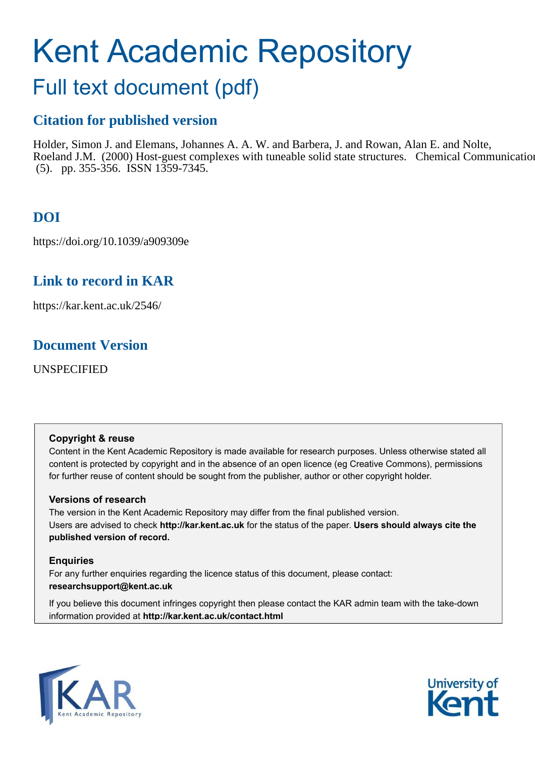# Kent Academic Repository

## Full text document (pdf)

## **Citation for published version**

Holder, Simon J. and Elemans, Johannes A. A. W. and Barbera, J. and Rowan, Alan E. and Nolte, Roeland J.M. (2000) Host-guest complexes with tuneable solid state structures. Chemical Communication (5). pp. 355-356. ISSN 1359-7345.

## **DOI**

https://doi.org/10.1039/a909309e

## **Link to record in KAR**

https://kar.kent.ac.uk/2546/

### **Document Version**

UNSPECIFIED

#### **Copyright & reuse**

Content in the Kent Academic Repository is made available for research purposes. Unless otherwise stated all content is protected by copyright and in the absence of an open licence (eg Creative Commons), permissions for further reuse of content should be sought from the publisher, author or other copyright holder.

#### **Versions of research**

The version in the Kent Academic Repository may differ from the final published version. Users are advised to check **http://kar.kent.ac.uk** for the status of the paper. **Users should always cite the published version of record.**

#### **Enquiries**

For any further enquiries regarding the licence status of this document, please contact: **researchsupport@kent.ac.uk**

If you believe this document infringes copyright then please contact the KAR admin team with the take-down information provided at **http://kar.kent.ac.uk/contact.html**



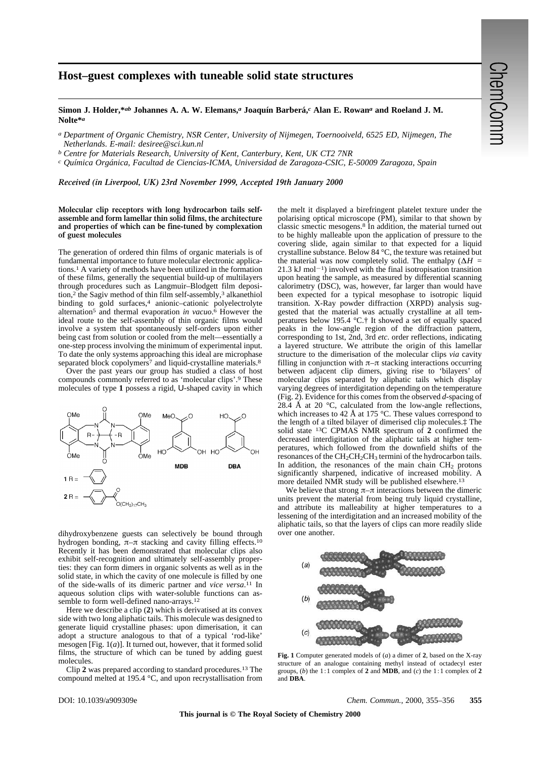#### **Host–guest complexes with tuneable solid state structures**

#### **Simon J. Holder,\****ab* **Johannes A. A. W. Elemans,***a* **Joaquín Barberá,***c* **Alan E. Rowan***a* **and Roeland J. M. Nolte\****a*

*a Department of Organic Chemistry, NSR Center, University of Nijmegen, Toernooiveld, 6525 ED, Nijmegen, The Netherlands. E-mail: desiree@sci.kun.nl* 

*b Centre for Materials Research, University of Kent, Canterbury, Kent, UK CT2 7NR*

*c Química Orgánica, Facultad de Ciencias-ICMA, Universidad de Zaragoza-CSIC, E-50009 Zaragoza, Spain*

*Received (in Liverpool, UK) 23rd November 1999, Accepted 19th January 2000*

#### **Molecular clip receptors with long hydrocarbon tails selfassemble and form lamellar thin solid films, the architecture and properties of which can be fine-tuned by complexation of guest molecules**

The generation of ordered thin films of organic materials is of fundamental importance to future molecular electronic applications.1 A variety of methods have been utilized in the formation of these films, generally the sequential build-up of multilayers through procedures such as Langmuir–Blodgett film deposition,<sup>2</sup> the Sagiv method of thin film self-assembly,<sup>3</sup> alkanethiol binding to gold surfaces,<sup>4</sup> anionic–cationic polyelectrolyte alternation5 and thermal evaporation *in vacuo*. 6 However the ideal route to the self-assembly of thin organic films would involve a system that spontaneously self-orders upon either being cast from solution or cooled from the melt—essentially a one-step process involving the minimum of experimental input. To date the only systems approaching this ideal are microphase separated block copolymers<sup>7</sup> and liquid-crystalline materials.<sup>8</sup>

Over the past years our group has studied a class of host compounds commonly referred to as 'molecular clips'.9 These molecules of type **1** possess a rigid, U-shaped cavity in which



dihydroxybenzene guests can selectively be bound through hydrogen bonding,  $\pi-\pi$  stacking and cavity filling effects.<sup>10</sup> Recently it has been demonstrated that molecular clips also exhibit self-recognition and ultimately self-assembly properties: they can form dimers in organic solvents as well as in the solid state, in which the cavity of one molecule is filled by one of the side-walls of its dimeric partner and *vice versa*. 11 In aqueous solution clips with water-soluble functions can assemble to form well-defined nano-arrays.12

Here we describe a clip (**2**) which is derivatised at its convex side with two long aliphatic tails. This molecule was designed to generate liquid crystalline phases: upon dimerisation, it can adopt a structure analogous to that of a typical 'rod-like' mesogen [Fig. 1(*a*)]. It turned out, however, that it formed solid films, the structure of which can be tuned by adding guest molecules.

Clip **2** was prepared according to standard procedures.13 The compound melted at 195.4 °C, and upon recrystallisation from the melt it displayed a birefringent platelet texture under the polarising optical microscope  $(\bar{P}M)$ , similar to that shown by classic smectic mesogens.8 In addition, the material turned out to be highly malleable upon the application of pressure to the covering slide, again similar to that expected for a liquid crystalline substance. Below 84 °C, the texture was retained but the material was now completely solid. The enthalpy  $(\Delta H =$ 21.3 kJ mol<sup> $-1$ </sup>) involved with the final isotropisation transition upon heating the sample, as measured by differential scanning calorimetry (DSC), was, however, far larger than would have been expected for a typical mesophase to isotropic liquid transition. X-Ray powder diffraction (XRPD) analysis suggested that the material was actually crystalline at all temperatures below 195.4 °C.† It showed a set of equally spaced peaks in the low-angle region of the diffraction pattern, corresponding to 1st, 2nd, 3rd *etc*. order reflections, indicating a layered structure. We attribute the origin of this lamellar structure to the dimerisation of the molecular clips *via* cavity filling in conjunction with  $\pi-\pi$  stacking interactions occurring between adjacent clip dimers, giving rise to 'bilayers' of molecular clips separated by aliphatic tails which display varying degrees of interdigitation depending on the temperature (Fig. 2). Evidence for this comes from the observed *d*-spacing of 28.4 Å at 20 $\degree$ C, calculated from the low-angle reflections, which increases to 42 Å at 175  $\degree$ C. These values correspond to the length of a tilted bilayer of dimerised clip molecules.‡ The solid state 13C CPMAS NMR spectrum of **2** confirmed the decreased interdigitation of the aliphatic tails at higher temperatures, which followed from the downfield shifts of the resonances of the  $CH_2CH_2CH_3$  termini of the hydrocarbon tails. In addition, the resonances of the main chain  $CH<sub>2</sub>$  protons significantly sharpened, indicative of increased mobility. A more detailed NMR study will be published elsewhere.13

We believe that strong  $\pi-\pi$  interactions between the dimeric units prevent the material from being truly liquid crystalline, and attribute its malleability at higher temperatures to a lessening of the interdigitation and an increased mobility of the aliphatic tails, so that the layers of clips can more readily slide over one another.



**Fig. 1** Computer generated models of (*a*) a dimer of **2**, based on the X-ray structure of an analogue containing methyl instead of octadecyl ester groups, (*b*) the 1:1 complex of 2 and **MDB**, and (*c*) the 1:1 complex of 2 and **DBA**.